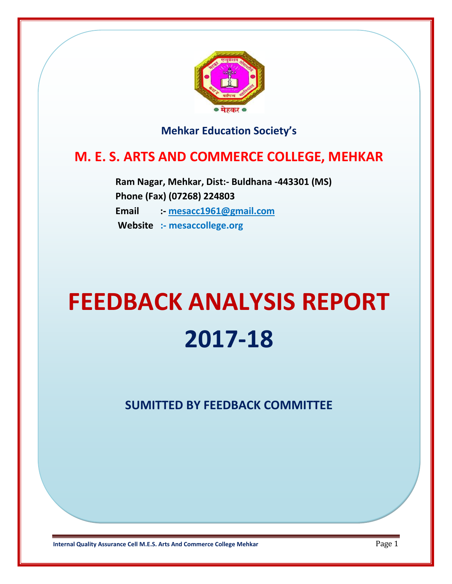

# **Mehkar Education Society's**

# **M. E. S. ARTS AND COMMERCE COLLEGE, MEHKAR**

 **Ram Nagar, Mehkar, Dist:- Buldhana -443301 (MS) Phone (Fax) (07268) 224803 Email :- [mesacc1961@gmail.com](mailto:mesacc1961@gmail.com) Website :- mesaccollege.org**

# **FEEDBACK ANALYSIS REPORT 2017-18**

**SUMITTED BY FEEDBACK COMMITTEE**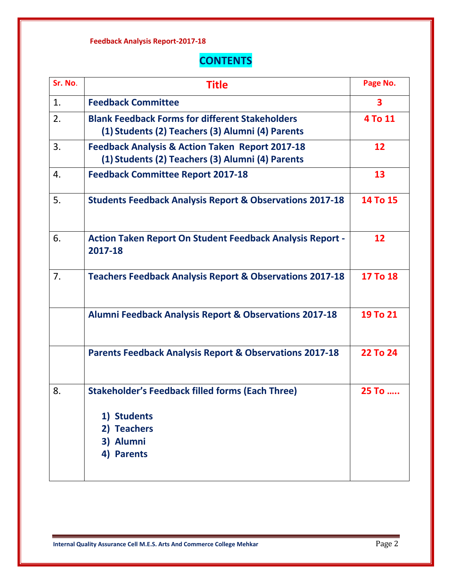# **CONTENTS**

| Sr. No. | <b>Title</b>                                                                                                     | Page No. |
|---------|------------------------------------------------------------------------------------------------------------------|----------|
| 1.      | <b>Feedback Committee</b>                                                                                        | 3        |
| 2.      | <b>Blank Feedback Forms for different Stakeholders</b><br>(1) Students (2) Teachers (3) Alumni (4) Parents       | 4 To 11  |
| 3.      | <b>Feedback Analysis &amp; Action Taken Report 2017-18</b><br>(1) Students (2) Teachers (3) Alumni (4) Parents   | 12       |
| 4.      | <b>Feedback Committee Report 2017-18</b>                                                                         | 13       |
| 5.      | <b>Students Feedback Analysis Report &amp; Observations 2017-18</b>                                              | 14 To 15 |
| 6.      | <b>Action Taken Report On Student Feedback Analysis Report -</b><br>2017-18                                      | 12       |
| 7.      | <b>Teachers Feedback Analysis Report &amp; Observations 2017-18</b>                                              | 17 To 18 |
|         | <b>Alumni Feedback Analysis Report &amp; Observations 2017-18</b>                                                | 19 To 21 |
|         | <b>Parents Feedback Analysis Report &amp; Observations 2017-18</b>                                               | 22 To 24 |
| 8.      | <b>Stakeholder's Feedback filled forms (Each Three)</b><br>1) Students<br>2) Teachers<br>3) Alumni<br>4) Parents | 25 To    |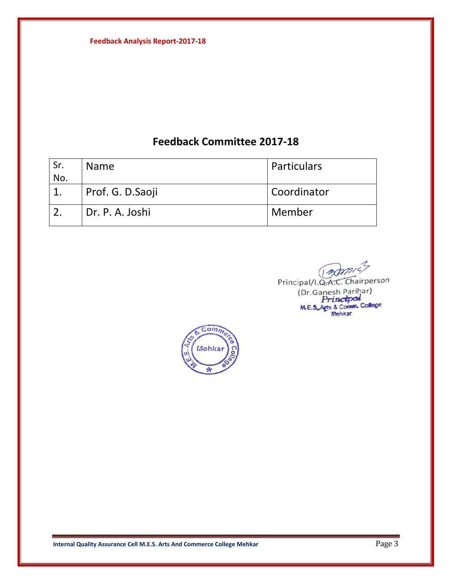# **Feedback Committee 2017-18**

| Sr. | <b>Name</b>       | Particulars        |
|-----|-------------------|--------------------|
| No. |                   |                    |
|     | Prof. G. D. Saoji | <b>Coordinator</b> |
|     | Dr. P. A. Joshi   | Member             |

Principal/I.Q.A.C. Chairperson (Dr. Ganesh Parihar)<br>
ME.3. Arts & Comm. College Mehkar

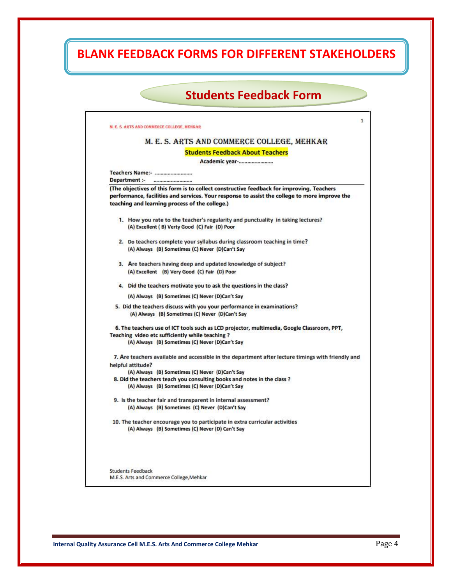# **BLANK FEEDBACK FORMS FOR DIFFERENT STAKEHOLDERS**

**Feedback Analysis Report-2017-18**

| <b>Students Feedback Form</b>                                                                                                                                                                                                               |
|---------------------------------------------------------------------------------------------------------------------------------------------------------------------------------------------------------------------------------------------|
|                                                                                                                                                                                                                                             |
| M. E. S. ARTS AND COMMERCE COLLEGE, MEHKAR                                                                                                                                                                                                  |
| M. E. S. ARTS AND COMMERCE COLLEGE, MEHKAR                                                                                                                                                                                                  |
| <b>Students Feedback About Teachers</b>                                                                                                                                                                                                     |
| Academic year-                                                                                                                                                                                                                              |
| Teachers Name:-                                                                                                                                                                                                                             |
| Department :-                                                                                                                                                                                                                               |
| (The objectives of this form is to collect constructive feedback for improving, Teachers<br>performance, facilities and services. Your response to assist the college to more improve the<br>teaching and learning process of the college.) |
| 1. How you rate to the teacher's regularity and punctuality in taking lectures?<br>(A) Excellent (B) Verty Good (C) Fair (D) Poor                                                                                                           |
| 2. Do teachers complete your syllabus during classroom teaching in time?<br>(A) Always (B) Sometimes (C) Never (D)Can't Say                                                                                                                 |
| 3. Are teachers having deep and updated knowledge of subject?<br>(A) Excellent (B) Very Good (C) Fair (D) Poor                                                                                                                              |
| 4. Did the teachers motivate you to ask the questions in the class?                                                                                                                                                                         |
| (A) Always (B) Sometimes (C) Never (D)Can't Say                                                                                                                                                                                             |
| 5. Did the teachers discuss with you your performance in examinations?<br>(A) Always (B) Sometimes (C) Never (D)Can't Say                                                                                                                   |
| 6. The teachers use of ICT tools such as LCD projector, multimedia, Google Classroom, PPT,                                                                                                                                                  |
| Teaching video etc sufficiently while teaching?                                                                                                                                                                                             |
| (A) Always (B) Sometimes (C) Never (D)Can't Say                                                                                                                                                                                             |
| 7. Are teachers available and accessible in the department after lecture timings with friendly and                                                                                                                                          |
| helpful attitude?                                                                                                                                                                                                                           |
| (A) Always (B) Sometimes (C) Never (D)Can't Say<br>8. Did the teachers teach you consulting books and notes in the class?                                                                                                                   |
| (A) Always (B) Sometimes (C) Never (D)Can't Say                                                                                                                                                                                             |
| 9. Is the teacher fair and transparent in internal assessment?<br>(A) Always (B) Sometimes (C) Never (D)Can't Say                                                                                                                           |
|                                                                                                                                                                                                                                             |
| 10. The teacher encourage you to participate in extra curricular activities<br>(A) Always (B) Sometimes (C) Never (D) Can't Say                                                                                                             |
|                                                                                                                                                                                                                                             |
| <b>Students Feedback</b>                                                                                                                                                                                                                    |
| M.E.S. Arts and Commerce College, Mehkar                                                                                                                                                                                                    |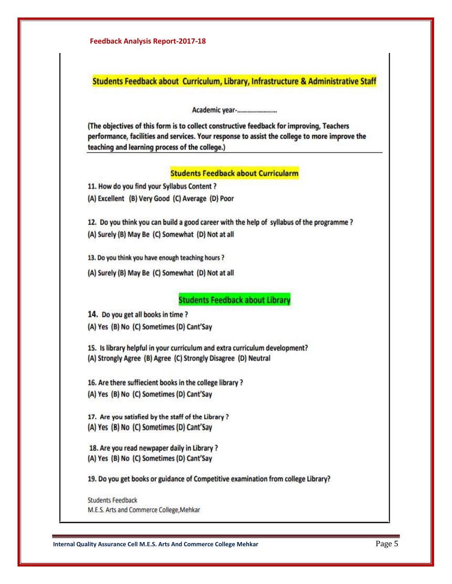| <b>Feedback Analysis Report-2017-18</b>                                                                                                                                                                                                     |  |
|---------------------------------------------------------------------------------------------------------------------------------------------------------------------------------------------------------------------------------------------|--|
| Students Feedback about Curriculum, Library, Infrastructure & Administrative Staff                                                                                                                                                          |  |
| Academic year-                                                                                                                                                                                                                              |  |
| (The objectives of this form is to collect constructive feedback for improving, Teachers<br>performance, facilities and services. Your response to assist the college to more improve the<br>teaching and learning process of the college.) |  |
| <b>Students Feedback about Curricularm</b>                                                                                                                                                                                                  |  |
| 11. How do you find your Syllabus Content ?                                                                                                                                                                                                 |  |
| (A) Excellent (B) Very Good (C) Average (D) Poor                                                                                                                                                                                            |  |
| 12. Do you think you can build a good career with the help of syllabus of the programme?                                                                                                                                                    |  |
| (A) Surely (B) May Be (C) Somewhat (D) Not at all                                                                                                                                                                                           |  |
| 13. Do you think you have enough teaching hours?                                                                                                                                                                                            |  |
| (A) Surely (B) May Be (C) Somewhat (D) Not at all                                                                                                                                                                                           |  |
| <b>Students Feedback about Library</b>                                                                                                                                                                                                      |  |
| 14. Do you get all books in time?                                                                                                                                                                                                           |  |
| (A) Yes (B) No (C) Sometimes (D) Cant'Say                                                                                                                                                                                                   |  |
| 15. Is library helpful in your curriculum and extra curriculum development?                                                                                                                                                                 |  |
| (A) Strongly Agree (B) Agree (C) Strongly Disagree (D) Neutral                                                                                                                                                                              |  |
| 16. Are there suffiecient books in the college library ?                                                                                                                                                                                    |  |
| (A) Yes (B) No (C) Sometimes (D) Cant'Say                                                                                                                                                                                                   |  |
| 17. Are you satisfied by the staff of the Library?                                                                                                                                                                                          |  |
| (A) Yes (B) No (C) Sometimes (D) Cant'Say                                                                                                                                                                                                   |  |
| 18. Are you read newpaper daily in Library?                                                                                                                                                                                                 |  |
| (A) Yes (B) No (C) Sometimes (D) Cant'Say                                                                                                                                                                                                   |  |
| 19. Do you get books or guidance of Competitive examination from college Library?                                                                                                                                                           |  |
|                                                                                                                                                                                                                                             |  |

**Internal Quality Assurance Cell M.E.S. Arts And Commerce College Mehkar** Page 5

M.E.S. Arts and Commerce College, Mehkar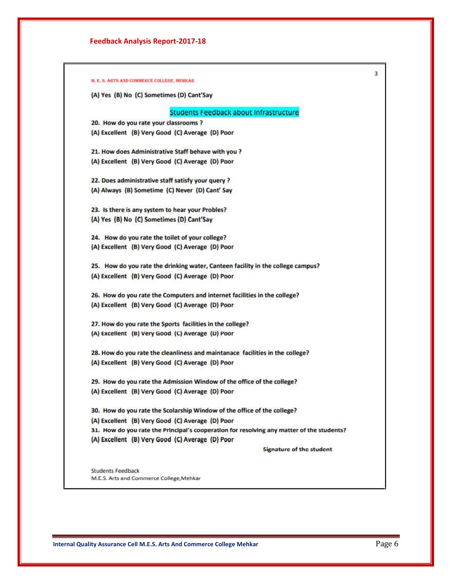|                          | (A) Yes (B) No (C) Sometimes (D) Cant'Say                                                 |
|--------------------------|-------------------------------------------------------------------------------------------|
|                          |                                                                                           |
|                          | Students Feedback about Infrastructure                                                    |
|                          | 20. How do you rate your classrooms ?                                                     |
|                          | (A) Excellent (B) Very Good (C) Average (D) Poor                                          |
|                          | 21. How does Administrative Staff behave with you ?                                       |
|                          | (A) Excellent (B) Very Good (C) Average (D) Poor                                          |
|                          | 22. Does administrative staff satisfy your query ?                                        |
|                          | (A) Always (B) Sometime (C) Never (D) Cant' Say                                           |
|                          | 23. Is there is any system to hear your Probles?                                          |
|                          | (A) Yes (B) No (C) Sometimes (D) Cant'Say                                                 |
|                          | 24. How do you rate the toilet of your college?                                           |
|                          | (A) Excellent (B) Very Good (C) Average (D) Poor                                          |
|                          | 25. How do you rate the drinking water, Canteen facility in the college campus?           |
|                          | (A) Excellent (B) Very Good (C) Average (D) Poor                                          |
|                          | 26. How do you rate the Computers and internet facilities in the college?                 |
|                          | (A) Excellent (B) Very Good (C) Average (D) Poor                                          |
|                          | 27. How do you rate the Sports facilities in the college?                                 |
|                          | (A) Excellent (B) Very Good (C) Average (D) Poor                                          |
|                          | 28. How do you rate the cleanliness and maintanace facilities in the college?             |
|                          | (A) Excellent (B) Very Good (C) Average (D) Poor                                          |
|                          | 29. How do you rate the Admission Window of the office of the college?                    |
|                          | (A) Excellent (B) Very Good (C) Average (D) Poor                                          |
|                          | 30. How do you rate the Scolarship Window of the office of the college?                   |
|                          | (A) Excellent (B) Very Good (C) Average (D) Poor                                          |
|                          | 31. How do you rate the Principal's cooperation for resolving any matter of the students? |
|                          | (A) Excellent (B) Very Good (C) Average (D) Poor                                          |
|                          | Signature of the student                                                                  |
| <b>Students Feedback</b> |                                                                                           |
|                          | M.E.S. Arts and Commerce College, Mehkar                                                  |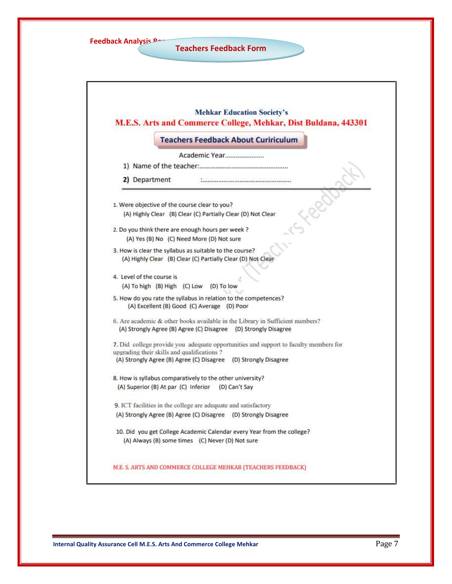| <b>Feedback Analysis Person</b> |  |
|---------------------------------|--|
|---------------------------------|--|

**Teachers Feedback Form**

|                           | <b>Teachers Feedback About Cuririculum</b>                                                                                                       |
|---------------------------|--------------------------------------------------------------------------------------------------------------------------------------------------|
|                           | Academic Year                                                                                                                                    |
|                           |                                                                                                                                                  |
| 2) Department             |                                                                                                                                                  |
|                           | 1. Were objective of the course clear to you?                                                                                                    |
|                           | (A) Highly Clear (B) Clear (C) Partially Clear (D) Not Clear                                                                                     |
|                           | 2. Do you think there are enough hours per week ?                                                                                                |
|                           | (A) Yes (B) No (C) Need More (D) Not sure                                                                                                        |
|                           | 3. How is clear the syllabus as suitable to the course?<br>(A) Highly Clear (B) Clear (C) Partially Clear (D) Not Clear                          |
| 4. Level of the course is | (A) To high (B) High (C) Low<br>(D) To low                                                                                                       |
|                           | 5. How do you rate the syllabus in relation to the competences?<br>(A) Excellent (B) Good (C) Average (D) Poor                                   |
|                           | 6. Are academic & other books available in the Library in Sufficient numbers?<br>(A) Strongly Agree (B) Agree (C) Disagree (D) Strongly Disagree |
|                           | 7. Did college provide you adequate opportunities and support to faculty members for<br>upgrading their skills and qualifications?               |
|                           | (A) Strongly Agree (B) Agree (C) Disagree (D) Strongly Disagree                                                                                  |
|                           | 8. How is syllabus comparatively to the other university?<br>(A) Superior (B) At par (C) Inferior<br>(D) Can't Say                               |
|                           |                                                                                                                                                  |
|                           | 9. ICT facilities in the college are adequate and satisfactory                                                                                   |
|                           | (A) Strongly Agree (B) Agree (C) Disagree (D) Strongly Disagree                                                                                  |
|                           | 10. Did you get College Academic Calendar every Year from the college?                                                                           |
|                           | (A) Always (B) some times (C) Never (D) Not sure                                                                                                 |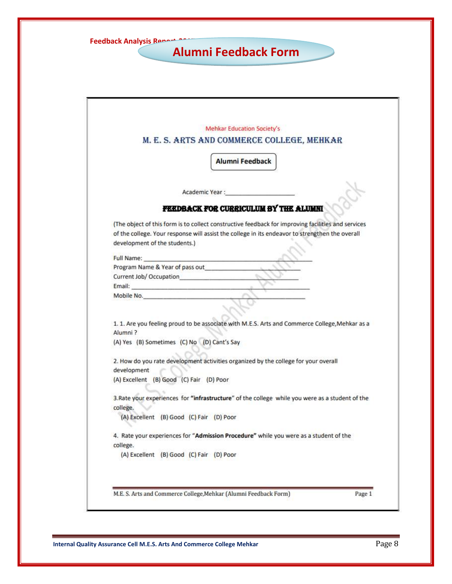| <b>Feedback Analysis Repart 2007</b> |  |
|--------------------------------------|--|
|--------------------------------------|--|

# **Alumni Feedback Form**

| Mehkar Education Society's<br>M. E. S. ARTS AND COMMERCE COLLEGE, MEHKAR                                                                                                                                                                                          |
|-------------------------------------------------------------------------------------------------------------------------------------------------------------------------------------------------------------------------------------------------------------------|
| <b>Alumni Feedback</b>                                                                                                                                                                                                                                            |
| Academic Year:                                                                                                                                                                                                                                                    |
| FEEDBACK FOR CURRICULUM BY THE ALUMNI                                                                                                                                                                                                                             |
| (The object of this form is to collect constructive feedback for improving facilities and services                                                                                                                                                                |
| of the college. Your response will assist the college in its endeavor to strengthen the overall                                                                                                                                                                   |
| development of the students.)                                                                                                                                                                                                                                     |
|                                                                                                                                                                                                                                                                   |
| Full Name: The contract of the contract of the contract of the contract of the contract of the contract of the contract of the contract of the contract of the contract of the contract of the contract of the contract of the<br>Program Name & Year of pass out |
|                                                                                                                                                                                                                                                                   |
|                                                                                                                                                                                                                                                                   |
| Mobile No.                                                                                                                                                                                                                                                        |
| 1. 1. Are you feeling proud to be associate with M.E.S. Arts and Commerce College, Mehkar as a<br>Alumni?                                                                                                                                                         |
| (A) Yes (B) Sometimes (C) No (D) Cant's Say                                                                                                                                                                                                                       |
| 2. How do you rate development activities organized by the college for your overall<br>development                                                                                                                                                                |
| (A) Excellent (B) Good (C) Fair (D) Poor                                                                                                                                                                                                                          |
| 3. Rate your experiences for "infrastructure" of the college while you were as a student of the<br>college.                                                                                                                                                       |
| (A) Excellent (B) Good (C) Fair (D) Poor                                                                                                                                                                                                                          |
| 4. Rate your experiences for "Admission Procedure" while you were as a student of the                                                                                                                                                                             |
| college.                                                                                                                                                                                                                                                          |
| (A) Excellent (B) Good (C) Fair (D) Poor                                                                                                                                                                                                                          |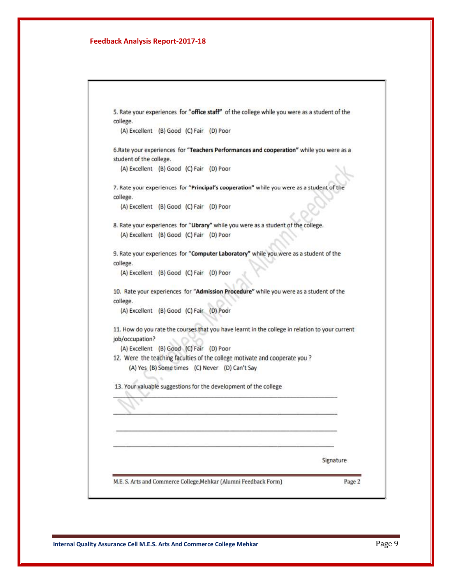| college.                                 |  |                                                                             | 5. Rate your experiences for "office staff" of the college while you were as a student of the   |
|------------------------------------------|--|-----------------------------------------------------------------------------|-------------------------------------------------------------------------------------------------|
| (A) Excellent (B) Good (C) Fair (D) Poor |  |                                                                             |                                                                                                 |
|                                          |  |                                                                             | 6. Rate your experiences for "Teachers Performances and cooperation" while you were as a        |
| student of the college.                  |  |                                                                             |                                                                                                 |
| (A) Excellent (B) Good (C) Fair (D) Poor |  |                                                                             |                                                                                                 |
|                                          |  |                                                                             | 7. Rate your experiences for "Principal's cooperation" while you were as a student of the       |
| college.                                 |  |                                                                             |                                                                                                 |
| (A) Excellent (B) Good (C) Fair (D) Poor |  |                                                                             |                                                                                                 |
|                                          |  |                                                                             | 8. Rate your experiences for "Library" while you were as a student of the college.              |
| (A) Excellent (B) Good (C) Fair (D) Poor |  |                                                                             |                                                                                                 |
|                                          |  |                                                                             |                                                                                                 |
|                                          |  |                                                                             | 9. Rate your experiences for "Computer Laboratory" while you were as a student of the           |
| college.                                 |  |                                                                             |                                                                                                 |
| (A) Excellent (B) Good (C) Fair (D) Poor |  |                                                                             |                                                                                                 |
|                                          |  |                                                                             | 10. Rate your experiences for "Admission Procedure" while you were as a student of the          |
| college.                                 |  |                                                                             |                                                                                                 |
| (A) Excellent (B) Good (C) Fair (D) Poor |  |                                                                             |                                                                                                 |
|                                          |  |                                                                             | 11. How do you rate the courses that you have learnt in the college in relation to your current |
| job/occupation?                          |  |                                                                             |                                                                                                 |
| (A) Excellent (B) Good (C) Fair (D) Poor |  |                                                                             |                                                                                                 |
|                                          |  | 12. Were the teaching faculties of the college motivate and cooperate you ? |                                                                                                 |
|                                          |  | (A) Yes (B) Some times (C) Never (D) Can't Say                              |                                                                                                 |
|                                          |  |                                                                             |                                                                                                 |
|                                          |  | 13. Your valuable suggestions for the development of the college            |                                                                                                 |
|                                          |  |                                                                             |                                                                                                 |
|                                          |  |                                                                             |                                                                                                 |
|                                          |  |                                                                             |                                                                                                 |
|                                          |  |                                                                             |                                                                                                 |
|                                          |  |                                                                             |                                                                                                 |
|                                          |  |                                                                             | Signature                                                                                       |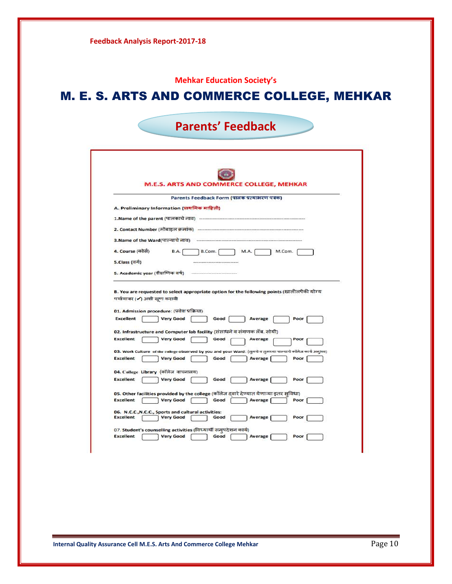|                  |                                                                                                                            |                                                   |      | <b>Mehkar Education Society's</b> |        |
|------------------|----------------------------------------------------------------------------------------------------------------------------|---------------------------------------------------|------|-----------------------------------|--------|
|                  |                                                                                                                            | <b>M. E. S. ARTS AND COMMERCE COLLEGE, MEHKAR</b> |      |                                   |        |
|                  |                                                                                                                            | <b>Parents' Feedback</b>                          |      |                                   |        |
|                  | <b>M.E.S. ARTS AND COMMERCE COLLEGE, MEHKAR</b>                                                                            |                                                   |      |                                   |        |
|                  |                                                                                                                            | Parents Feedback Form (पालक प्रत्याभरण पत्रक)     |      |                                   |        |
|                  | A. Preliminary Information (प्राथमिक माहिती)                                                                               |                                                   |      |                                   |        |
|                  |                                                                                                                            |                                                   |      |                                   |        |
|                  |                                                                                                                            |                                                   |      |                                   |        |
|                  |                                                                                                                            |                                                   |      |                                   |        |
| 4. Course (कोसे) | BA.                                                                                                                        | B.Com.                                            |      | MA.                               | M.Com. |
| 5.Class (वर्ग)   |                                                                                                                            |                                                   |      |                                   |        |
|                  | 5. Academic year (शैक्षणिक वर्ष)                                                                                           |                                                   |      |                                   |        |
|                  | B. You are requested to select appropriate option for the following points (खालीलपैकी योग्य<br>पर्यायावर (✔) अशी खूण करावी |                                                   |      |                                   |        |
|                  | 01. Admission procedure: (प्रवेश प्रक्रिया)                                                                                |                                                   |      |                                   |        |
| Excellent        | <b>Very Good</b>                                                                                                           |                                                   | Good | Average                           | Poor   |
|                  | 02. Infrastructure and Computer lab facility (संसाधने व संगणक लॅब. सोयी)                                                   |                                                   |      |                                   |        |
| <b>Excellent</b> | <b>Very Good</b>                                                                                                           |                                                   | Good | Average                           | Poor   |
|                  | 03. Work Culture of the college observed by you and your Ward: (तुमचे व तुमच्या पाल्याचे कॉलेज कार्य अनुभव)                |                                                   |      |                                   |        |
| Excellent        | <b>Very Good</b>                                                                                                           |                                                   | Good | Average                           | Poor   |
|                  | 04. College Library (कॉलेज वाचनालय)                                                                                        |                                                   |      |                                   |        |
| <b>Excellent</b> | <b>Very Good</b>                                                                                                           |                                                   | Good | Average                           | Poor   |
|                  | 05. Other facilities provided by the college (कॉलेज दवारे देण्यात येणाऱ्या इतर सुविधा)                                     |                                                   |      |                                   |        |
| <b>Excellent</b> | <b>Very Good</b>                                                                                                           |                                                   | Good | Average                           | Poor   |
|                  | 06. N.C.C., N.C.C., Sports and cultural activities:                                                                        |                                                   |      |                                   |        |
| Excellent        | <b>Very Good</b>                                                                                                           |                                                   | Good | Average                           | Poor   |
|                  | 07. Student's counselling activities (विध्यार्थी सम्पदेशन कार्य)                                                           |                                                   |      |                                   |        |
| Excellent        | <b>Very Good</b>                                                                                                           |                                                   | Good | Average                           | Poor   |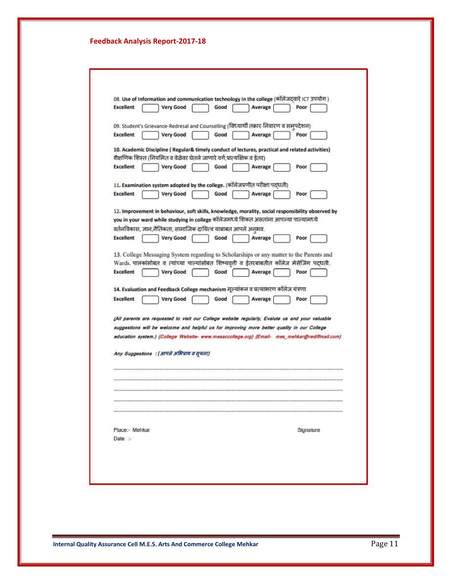| 08. Use of Information and communication technology in the college (कॉलेजदवारे ICT उपयोग)         |
|---------------------------------------------------------------------------------------------------|
| <b>Excellent</b><br><b>Very Good</b><br>Good<br>Average<br>Poor                                   |
| 09. Student's Grievance-Redresal and Counselling (विध्यार्थी तक़ार-निवारण व समुपदेशन)             |
| <b>Excellent</b><br><b>Very Good</b><br>Good<br>Average<br>Poor                                   |
| 10. Academic Discipline (Regular& timely conduct of lectures, practical and related activities)   |
| शैक्षणिक शिस्त (नियमित व वेळेवर घेतले जाणारे वर्ग,प्रात्यक्षिक व ईतर)                             |
| <b>Excellent</b><br><b>Very Good</b><br>Good<br>Average<br>Poor                                   |
| 11. Examination system adopted by the college. (कॉलेजप्रणीत परीक्षा पद्धती)                       |
| <b>Excellent</b><br><b>Very Good</b><br>Good<br>Average<br>Poor                                   |
| 12. Improvement in behaviour, soft skills, knowledge, morality, social responsibility observed by |
| you in your ward while studying in college कॉलेजमध्ये शिकत असतांना आपल्या पाल्यामध्ये             |
| वर्तनविकास, ज्ञान,नैतिकता, सामाजिक दायित्व याबाबत आपले अनुभव.                                     |
| <b>Excellent</b><br><b>Very Good</b><br>Good<br>Average<br>Poor                                   |
| 13. College Messaging System regarding to Scholarships or any matter to the Parents and           |
| Wards. पालकांसोबत व त्यांच्या पाल्यांसोबत शिष्यवृती व ईतरबाबतीत कॉलेज मेसेजिंग पद्धती.            |
| <b>Excellent</b><br><b>Very Good</b><br>Good<br>Average<br>Poor                                   |
| 14. Evaluation and Feedback College mechanism मूल्यांकन व प्रत्याभरण कॉलेज यंत्रणा                |
| <b>Excellent</b><br><b>Very Good</b><br>Good<br>Average<br>Poor                                   |
|                                                                                                   |
| (All parents are requested to visit our College website regularly, Evalute us and your valuable   |
| suggestions will be welcome and helpful us for improving more better quality in our College       |
| education system.) {College Website- www.mesaccollege.org} {Email- mes_mehkar@rediffmail.com}     |
| Any Suggestions: (आपले अभिप्राय व सूचना)                                                          |
|                                                                                                   |
|                                                                                                   |
|                                                                                                   |
|                                                                                                   |
|                                                                                                   |
|                                                                                                   |
| Place:- Mehkar<br>Signature                                                                       |
| Date :-                                                                                           |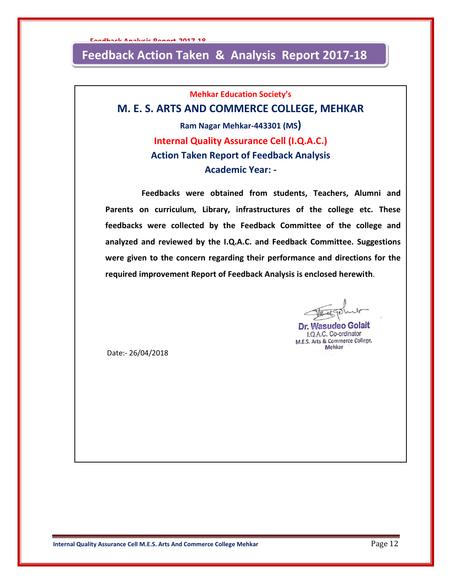# **Feedback Action Taken & Analysis Report 2017-18**

**Mehkar Education Society's**

## **M. E. S. ARTS AND COMMERCE COLLEGE, MEHKAR**

**Ram Nagar Mehkar-443301 (MS) Internal Quality Assurance Cell (I.Q.A.C.) Action Taken Report of Feedback Analysis Academic Year: -**

 **Feedbacks were obtained from students, Teachers, Alumni and Parents on curriculum, Library, infrastructures of the college etc. These feedbacks were collected by the Feedback Committee of the college and analyzed and reviewed by the I.Q.A.C. and Feedback Committee. Suggestions were given to the concern regarding their performance and directions for the required improvement Report of Feedback Analysis is enclosed herewith**.

Dr. Wasudeo Golait I.Q.A.C. Co-ordinator M.E.S. Arts & Commerce College, Mehkar

Date:- 26/04/2018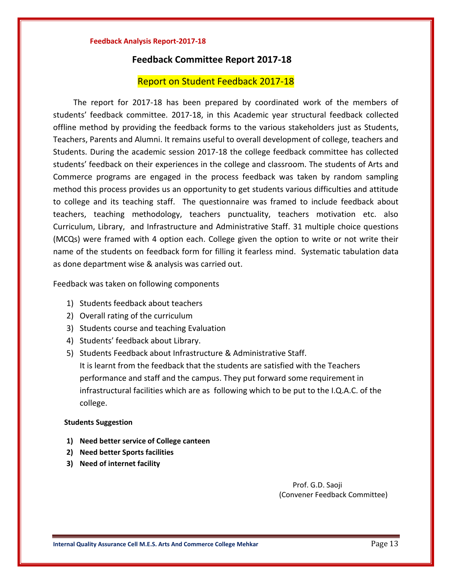#### **Feedback Committee Report 2017-18**

#### Report on Student Feedback 2017-18

 The report for 2017-18 has been prepared by coordinated work of the members of students' feedback committee. 2017-18, in this Academic year structural feedback collected offline method by providing the feedback forms to the various stakeholders just as Students, Teachers, Parents and Alumni. It remains useful to overall development of college, teachers and Students. During the academic session 2017-18 the college feedback committee has collected students' feedback on their experiences in the college and classroom. The students of Arts and Commerce programs are engaged in the process feedback was taken by random sampling method this process provides us an opportunity to get students various difficulties and attitude to college and its teaching staff. The questionnaire was framed to include feedback about teachers, teaching methodology, teachers punctuality, teachers motivation etc. also Curriculum, Library, and Infrastructure and Administrative Staff. 31 multiple choice questions (MCQs) were framed with 4 option each. College given the option to write or not write their name of the students on feedback form for filling it fearless mind. Systematic tabulation data as done department wise & analysis was carried out.

Feedback was taken on following components

- 1) Students feedback about teachers
- 2) Overall rating of the curriculum
- 3) Students course and teaching Evaluation
- 4) Students' feedback about Library.
- 5) Students Feedback about Infrastructure & Administrative Staff. It is learnt from the feedback that the students are satisfied with the Teachers performance and staff and the campus. They put forward some requirement in infrastructural facilities which are as following which to be put to the I.Q.A.C. of the college.

#### **Students Suggestion**

- **1) Need better service of College canteen**
- **2) Need better Sports facilities**
- **3) Need of internet facility**

 Prof. G.D. Saoji (Convener Feedback Committee)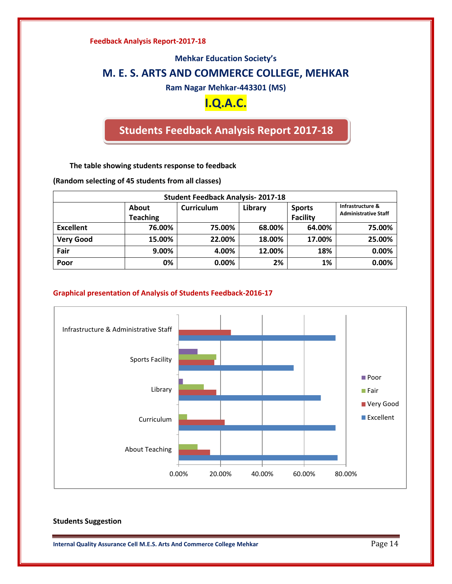#### **Mehkar Education Society's**

### **M. E. S. ARTS AND COMMERCE COLLEGE, MEHKAR**

**Ram Nagar Mehkar-443301 (MS)**

# **I.Q.A.C.**

# **Students Feedback Analysis Report 2017-18**

**The table showing students response to feedback**

**(Random selecting of 45 students from all classes)**

| <b>Student Feedback Analysis-2017-18</b> |                 |            |         |                 |                             |  |  |  |  |
|------------------------------------------|-----------------|------------|---------|-----------------|-----------------------------|--|--|--|--|
|                                          | About           | Curriculum | Library | <b>Sports</b>   | Infrastructure &            |  |  |  |  |
|                                          | <b>Teaching</b> |            |         | <b>Facility</b> | <b>Administrative Staff</b> |  |  |  |  |
| <b>Excellent</b>                         | 76.00%          | 75.00%     | 68.00%  | 64.00%          | 75.00%                      |  |  |  |  |
| <b>Very Good</b>                         | 15.00%          | 22.00%     | 18.00%  | 17.00%          | 25.00%                      |  |  |  |  |
| Fair                                     | 9.00%           | 4.00%      | 12.00%  | 18%             | 0.00%                       |  |  |  |  |
| Poor                                     | 0%              | 0.00%      | 2%      | 1%              | 0.00%                       |  |  |  |  |

#### **Graphical presentation of Analysis of Students Feedback-2016-17**



#### **Students Suggestion**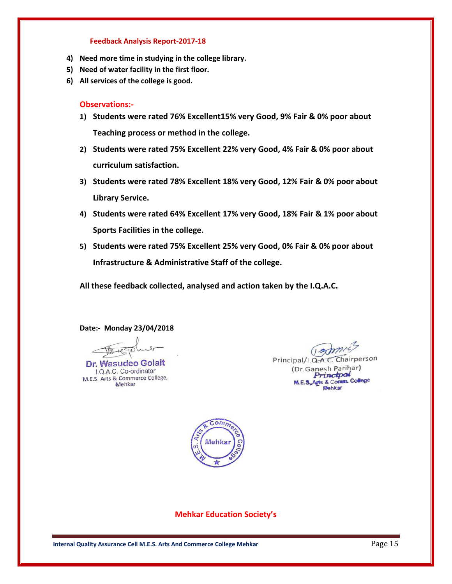- **4) Need more time in studying in the college library.**
- **5) Need of water facility in the first floor.**
- **6) All services of the college is good.**

#### **Observations:-**

- **1) Students were rated 76% Excellent15% very Good, 9% Fair & 0% poor about Teaching process or method in the college.**
- **2) Students were rated 75% Excellent 22% very Good, 4% Fair & 0% poor about curriculum satisfaction.**
- **3) Students were rated 78% Excellent 18% very Good, 12% Fair & 0% poor about Library Service.**
- **4) Students were rated 64% Excellent 17% very Good, 18% Fair & 1% poor about Sports Facilities in the college.**
- **5) Students were rated 75% Excellent 25% very Good, 0% Fair & 0% poor about Infrastructure & Administrative Staff of the college.**

**All these feedback collected, analysed and action taken by the I.Q.A.C.**

**Date:- Monday 23/04/2018**

Will

Dr. Wasudeo Golait I.Q.A.C. Co-ordinator M.E.S. Arts & Commerce College, Mehkar

( admis Principal/I.Q.A.C. Chairperson (Dr.Ganesh Parihar) Princtpal M.E.S.Agts & Comm. College Mehkat



**Mehkar Education Society's**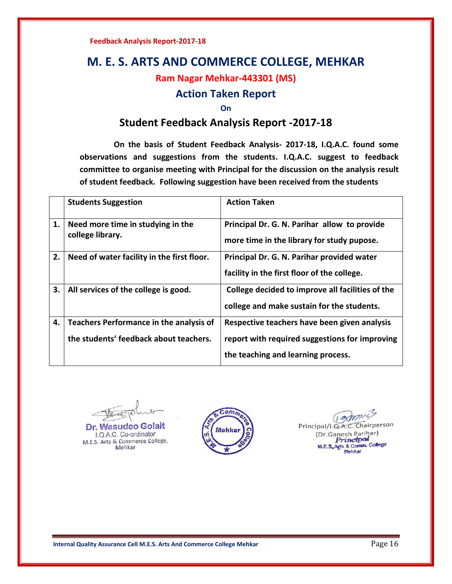# **M. E. S. ARTS AND COMMERCE COLLEGE, MEHKAR**

### **Ram Nagar Mehkar-443301 (MS)**

### **Action Taken Report**

#### **On**

## **Student Feedback Analysis Report -2017-18**

 **On the basis of Student Feedback Analysis- 2017-18, I.Q.A.C. found some observations and suggestions from the students. I.Q.A.C. suggest to feedback committee to organise meeting with Principal for the discussion on the analysis result of student feedback. Following suggestion have been received from the students**

|    | <b>Students Suggestion</b>                                                        | <b>Action Taken</b>                                                                                                                  |
|----|-----------------------------------------------------------------------------------|--------------------------------------------------------------------------------------------------------------------------------------|
| 1. | Need more time in studying in the<br>college library.                             | Principal Dr. G. N. Parihar allow to provide<br>more time in the library for study pupose.                                           |
| 2. | Need of water facility in the first floor.                                        | Principal Dr. G. N. Parihar provided water<br>facility in the first floor of the college.                                            |
| 3. | All services of the college is good.                                              | College decided to improve all facilities of the<br>college and make sustain for the students.                                       |
| 4. | Teachers Performance in the analysis of<br>the students' feedback about teachers. | Respective teachers have been given analysis<br>report with required suggestions for improving<br>the teaching and learning process. |

luce

Dr. Wasudeo Golait I.Q.A.C. Co-ordinator M.E.S. Arts & Commerce College, Mehkar



 $0$  amis Chairperson Principal/I.Q.A.C. (Dr.Ganesh Parihar) Princtpal M.E.S.Agts & Comm. College **Mehkar**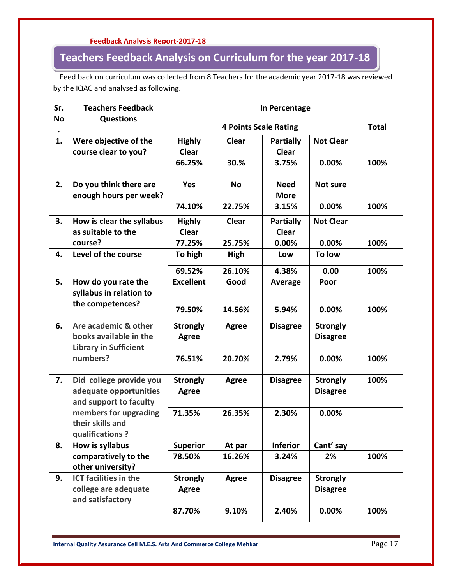# **Teachers Feedback Analysis on Curriculum for the year 2017-18**

 Feed back on curriculum was collected from 8 Teachers for the academic year 2017-18 was reviewed by the IQAC and analysed as following.

| Sr.       | <b>Teachers Feedback</b>                                                       | In Percentage                   |                              |                                  |                                    |      |  |  |
|-----------|--------------------------------------------------------------------------------|---------------------------------|------------------------------|----------------------------------|------------------------------------|------|--|--|
| <b>No</b> | <b>Questions</b>                                                               |                                 | <b>4 Points Scale Rating</b> |                                  |                                    |      |  |  |
| 1.        | Were objective of the<br>course clear to you?                                  | <b>Highly</b><br><b>Clear</b>   | <b>Clear</b>                 | <b>Partially</b><br><b>Clear</b> | <b>Not Clear</b>                   |      |  |  |
|           |                                                                                | 66.25%                          | 30.%                         | 3.75%                            | 0.00%                              | 100% |  |  |
| 2.        | Do you think there are<br>enough hours per week?                               | <b>Yes</b>                      | <b>No</b>                    | <b>Need</b><br><b>More</b>       | Not sure                           |      |  |  |
|           |                                                                                | 74.10%                          | 22.75%                       | 3.15%                            | 0.00%                              | 100% |  |  |
| 3.        | How is clear the syllabus<br>as suitable to the                                | <b>Highly</b><br><b>Clear</b>   | <b>Clear</b>                 | <b>Partially</b><br><b>Clear</b> | <b>Not Clear</b>                   |      |  |  |
|           | course?                                                                        | 77.25%                          | 25.75%                       | 0.00%                            | 0.00%                              | 100% |  |  |
| 4.        | Level of the course                                                            | To high                         | High                         | Low                              | To low                             |      |  |  |
|           |                                                                                | 69.52%                          | 26.10%                       | 4.38%                            | 0.00                               | 100% |  |  |
| 5.        | How do you rate the<br>syllabus in relation to                                 | <b>Excellent</b>                | Good                         | Average                          | Poor                               |      |  |  |
|           | the competences?                                                               | 79.50%                          | 14.56%                       | 5.94%                            | 0.00%                              | 100% |  |  |
| 6.        | Are academic & other<br>books available in the<br><b>Library in Sufficient</b> | <b>Strongly</b><br><b>Agree</b> | <b>Agree</b>                 | <b>Disagree</b>                  | <b>Strongly</b><br><b>Disagree</b> |      |  |  |
|           | numbers?                                                                       | 76.51%                          | 20.70%                       | 2.79%                            | 0.00%                              | 100% |  |  |
| 7.        | Did college provide you<br>adequate opportunities<br>and support to faculty    | <b>Strongly</b><br>Agree        | <b>Agree</b>                 | <b>Disagree</b>                  | <b>Strongly</b><br><b>Disagree</b> | 100% |  |  |
|           | members for upgrading<br>their skills and<br>qualifications?                   | 71.35%                          | 26.35%                       | 2.30%                            | 0.00%                              |      |  |  |
| 8.        | How is syllabus                                                                | <b>Superior</b>                 | At par                       | <b>Inferior</b>                  | Cant' say                          |      |  |  |
|           | comparatively to the<br>other university?                                      | 78.50%                          | 16.26%                       | 3.24%                            | 2%                                 | 100% |  |  |
| 9.        | <b>ICT facilities in the</b><br>college are adequate<br>and satisfactory       | <b>Strongly</b><br><b>Agree</b> | <b>Agree</b>                 | <b>Disagree</b>                  | <b>Strongly</b><br><b>Disagree</b> |      |  |  |
|           |                                                                                | 87.70%                          | 9.10%                        | 2.40%                            | 0.00%                              | 100% |  |  |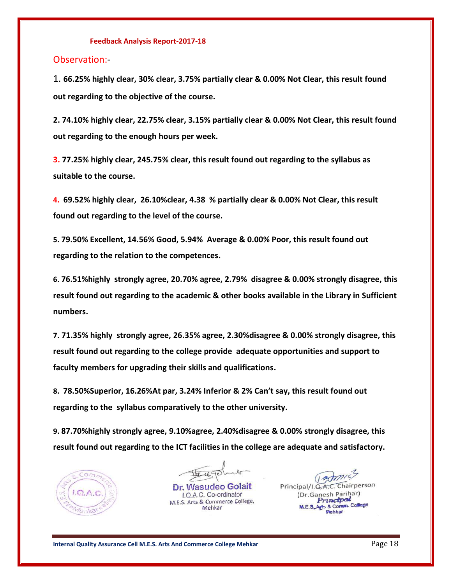#### Observation:-

1. **66.25% highly clear, 30% clear, 3.75% partially clear & 0.00% Not Clear, this result found out regarding to the objective of the course.**

**2. 74.10% highly clear, 22.75% clear, 3.15% partially clear & 0.00% Not Clear, this result found out regarding to the enough hours per week.**

**3. 77.25% highly clear, 245.75% clear, this result found out regarding to the syllabus as suitable to the course.**

**4. 69.52% highly clear, 26.10%clear, 4.38 % partially clear & 0.00% Not Clear, this result found out regarding to the level of the course.**

**5. 79.50% Excellent, 14.56% Good, 5.94% Average & 0.00% Poor, this result found out regarding to the relation to the competences.**

**6. 76.51%highly strongly agree, 20.70% agree, 2.79% disagree & 0.00% strongly disagree, this result found out regarding to the academic & other books available in the Library in Sufficient numbers.**

**7. 71.35% highly strongly agree, 26.35% agree, 2.30%disagree & 0.00% strongly disagree, this result found out regarding to the college provide adequate opportunities and support to faculty members for upgrading their skills and qualifications.**

**8. 78.50%Superior, 16.26%At par, 3.24% Inferior & 2% Can't say, this result found out regarding to the syllabus comparatively to the other university.** 

**9. 87.70%highly strongly agree, 9.10%agree, 2.40%disagree & 0.00% strongly disagree, this result found out regarding to the ICT facilities in the college are adequate and satisfactory.** 



the

Dr. Wasudeo Golait I.Q.A.C. Co-ordinator M.E.S. Arts & Commerce College, Mehkar

(Famile) Principal/I.Q.A.C. Chairperson (Dr.Ganesh Parihar) rinctpal gts & Comm. College **tehkar**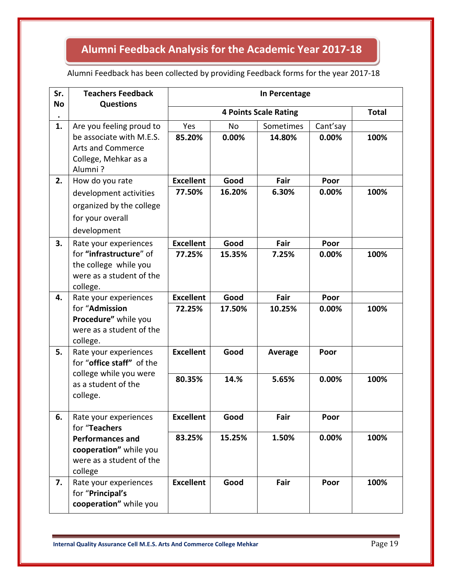#### **Feedback Analysis Report-2017-18 Alumni Feedback Analysis for the Academic Year 2017-18**

### Alumni Feedback has been collected by providing Feedback forms for the year 2017-18

| Sr.<br><b>No</b> | <b>Teachers Feedback</b><br><b>Questions</b>     | In Percentage    |           |                              |          |              |  |
|------------------|--------------------------------------------------|------------------|-----------|------------------------------|----------|--------------|--|
|                  |                                                  |                  |           | <b>4 Points Scale Rating</b> |          | <b>Total</b> |  |
| 1.               | Are you feeling proud to                         | Yes              | <b>No</b> | Sometimes                    | Cant'say |              |  |
|                  | be associate with M.E.S.                         | 85.20%           | 0.00%     | 14.80%                       | 0.00%    | 100%         |  |
|                  | <b>Arts and Commerce</b>                         |                  |           |                              |          |              |  |
|                  | College, Mehkar as a                             |                  |           |                              |          |              |  |
| 2.               | Alumni?<br>How do you rate                       | <b>Excellent</b> | Good      | Fair                         | Poor     |              |  |
|                  | development activities                           | 77.50%           | 16.20%    | 6.30%                        | 0.00%    | 100%         |  |
|                  | organized by the college                         |                  |           |                              |          |              |  |
|                  |                                                  |                  |           |                              |          |              |  |
|                  | for your overall<br>development                  |                  |           |                              |          |              |  |
| 3.               | Rate your experiences                            | <b>Excellent</b> | Good      | Fair                         | Poor     |              |  |
|                  | for "infrastructure" of                          | 77.25%           | 15.35%    | 7.25%                        | 0.00%    | 100%         |  |
|                  | the college while you                            |                  |           |                              |          |              |  |
|                  | were as a student of the                         |                  |           |                              |          |              |  |
|                  | college.                                         |                  |           |                              |          |              |  |
| 4.               | Rate your experiences                            | <b>Excellent</b> | Good      | Fair                         | Poor     |              |  |
|                  | for "Admission                                   | 72.25%           | 17.50%    | 10.25%                       | 0.00%    | 100%         |  |
|                  | Procedure" while you<br>were as a student of the |                  |           |                              |          |              |  |
|                  | college.                                         |                  |           |                              |          |              |  |
| 5.               | Rate your experiences                            | <b>Excellent</b> | Good      | Average                      | Poor     |              |  |
|                  | for "office staff" of the                        |                  |           |                              |          |              |  |
|                  | college while you were                           | 80.35%           | 14.%      | 5.65%                        | 0.00%    | 100%         |  |
|                  | as a student of the                              |                  |           |                              |          |              |  |
|                  | college.                                         |                  |           |                              |          |              |  |
| 6.               |                                                  | <b>Excellent</b> | Good      | Fair                         | Poor     |              |  |
|                  | Rate your experiences<br>for "Teachers           |                  |           |                              |          |              |  |
|                  | <b>Performances and</b>                          | 83.25%           | 15.25%    | 1.50%                        | 0.00%    | 100%         |  |
|                  | cooperation" while you                           |                  |           |                              |          |              |  |
|                  | were as a student of the                         |                  |           |                              |          |              |  |
|                  | college                                          |                  |           |                              |          |              |  |
| 7.               | Rate your experiences                            | <b>Excellent</b> | Good      | Fair                         | Poor     | 100%         |  |
|                  | for "Principal's<br>cooperation" while you       |                  |           |                              |          |              |  |
|                  |                                                  |                  |           |                              |          |              |  |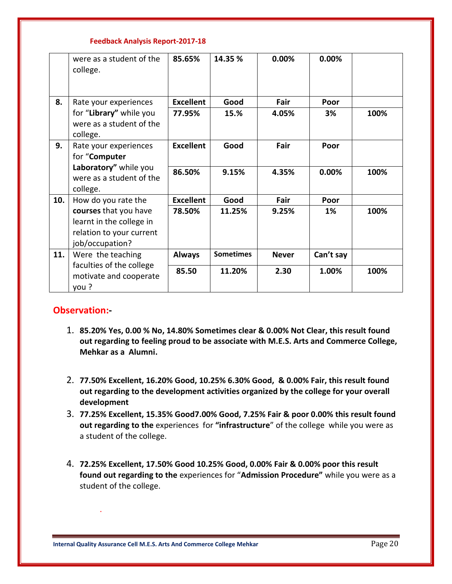|     | were as a student of the<br>college.                                                             | 85.65%           | 14.35 %          | 0.00%        | 0.00%     |      |
|-----|--------------------------------------------------------------------------------------------------|------------------|------------------|--------------|-----------|------|
| 8.  | Rate your experiences                                                                            | <b>Excellent</b> | Good             | Fair         | Poor      |      |
|     | for "Library" while you<br>were as a student of the<br>college.                                  | 77.95%           | 15.%             | 4.05%        | 3%        | 100% |
| 9.  | Rate your experiences<br>for "Computer                                                           | <b>Excellent</b> | Good             | Fair         | Poor      |      |
|     | Laboratory" while you<br>were as a student of the<br>college.                                    | 86.50%           | 9.15%            | 4.35%        | 0.00%     | 100% |
| 10. | How do you rate the                                                                              | <b>Excellent</b> | Good             | Fair         | Poor      |      |
|     | courses that you have<br>learnt in the college in<br>relation to your current<br>job/occupation? | 78.50%           | 11.25%           | 9.25%        | 1%        | 100% |
| 11. | Were the teaching                                                                                | <b>Always</b>    | <b>Sometimes</b> | <b>Never</b> | Can't say |      |
|     | faculties of the college<br>motivate and cooperate<br>you?                                       | 85.50            | 11.20%           | 2.30         | 1.00%     | 100% |

#### **Observation:-**

.

- 1. **85.20% Yes, 0.00 % No, 14.80% Sometimes clear & 0.00% Not Clear, this result found out regarding to feeling proud to be associate with M.E.S. Arts and Commerce College, Mehkar as a Alumni.**
- 2. **77.50% Excellent, 16.20% Good, 10.25% 6.30% Good, & 0.00% Fair, this result found out regarding to the development activities organized by the college for your overall development**
- 3. **77.25% Excellent, 15.35% Good7.00% Good, 7.25% Fair & poor 0.00% this result found out regarding to the** experiences for **"infrastructure**" of the college while you were as a student of the college.
- 4. **72.25% Excellent, 17.50% Good 10.25% Good, 0.00% Fair & 0.00% poor this result found out regarding to the** experiences for "**Admission Procedure"** while you were as a student of the college.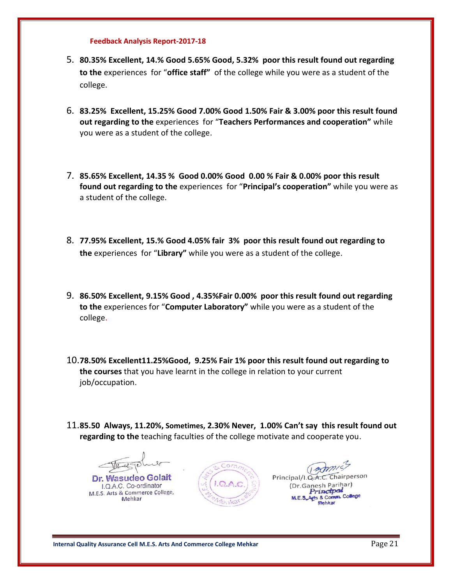- 5. **80.35% Excellent, 14.% Good 5.65% Good, 5.32% poor this result found out regarding to the** experiences for "**office staff"** of the college while you were as a student of the college.
- 6. **83.25% Excellent, 15.25% Good 7.00% Good 1.50% Fair & 3.00% poor this result found out regarding to the** experiences for "**Teachers Performances and cooperation"** while you were as a student of the college.
- 7. **85.65% Excellent, 14.35 % Good 0.00% Good 0.00 % Fair & 0.00% poor this result found out regarding to the** experiences for "**Principal's cooperation"** while you were as a student of the college.
- 8. **77.95% Excellent, 15.% Good 4.05% fair 3% poor this result found out regarding to the** experiences for "**Library"** while you were as a student of the college.
- 9. **86.50% Excellent, 9.15% Good , 4.35%Fair 0.00% poor this result found out regarding to the** experiences for "**Computer Laboratory"** while you were as a student of the college.
- 10.**78.50% Excellent11.25%Good, 9.25% Fair 1% poor this result found out regarding to the courses** that you have learnt in the college in relation to your current job/occupation.
- 11.**85.50 Always, 11.20%, Sometimes, 2.30% Never, 1.00% Can't say this result found out regarding to the** teaching faculties of the college motivate and cooperate you.

Dr. Wasudeo Golait I.Q.A.C. Co-ordinator M.E.S. Arts & Commerce College, Mehkar



nairperson Principal/I.Q.A.C. (Dr.Ganesh Parihar) Princtpa yts & Comm. College **Mahkat**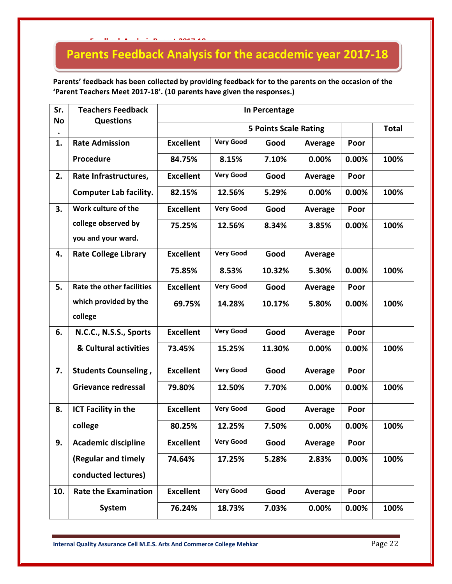# **Parents Feedback Analysis for the acacdemic year 2017-18**

**Parents' feedback has been collected by providing feedback for to the parents on the occasion of the 'Parent Teachers Meet 2017-18'. (10 parents have given the responses.)** 

| Sr.<br><b>No</b> | <b>Teachers Feedback</b><br><b>Questions</b> | In Percentage    |                              |        |                |       |      |  |
|------------------|----------------------------------------------|------------------|------------------------------|--------|----------------|-------|------|--|
|                  |                                              |                  | <b>5 Points Scale Rating</b> |        |                |       |      |  |
| 1.               | <b>Rate Admission</b>                        | <b>Excellent</b> | <b>Very Good</b>             | Good   | Average        | Poor  |      |  |
|                  | Procedure                                    | 84.75%           | 8.15%                        | 7.10%  | 0.00%          | 0.00% | 100% |  |
| 2.               | Rate Infrastructures,                        | <b>Excellent</b> | <b>Very Good</b>             | Good   | Average        | Poor  |      |  |
|                  | <b>Computer Lab facility.</b>                | 82.15%           | 12.56%                       | 5.29%  | 0.00%          | 0.00% | 100% |  |
| 3.               | Work culture of the                          | <b>Excellent</b> | <b>Very Good</b>             | Good   | Average        | Poor  |      |  |
|                  | college observed by                          | 75.25%           | 12.56%                       | 8.34%  | 3.85%          | 0.00% | 100% |  |
|                  | you and your ward.                           |                  |                              |        |                |       |      |  |
| 4.               | <b>Rate College Library</b>                  | <b>Excellent</b> | <b>Very Good</b>             | Good   | <b>Average</b> |       |      |  |
|                  |                                              | 75.85%           | 8.53%                        | 10.32% | 5.30%          | 0.00% | 100% |  |
| 5.               | <b>Rate the other facilities</b>             | <b>Excellent</b> | <b>Very Good</b>             | Good   | <b>Average</b> | Poor  |      |  |
|                  | which provided by the                        | 69.75%           | 14.28%                       | 10.17% | 5.80%          | 0.00% | 100% |  |
|                  | college                                      |                  |                              |        |                |       |      |  |
| 6.               | N.C.C., N.S.S., Sports                       | <b>Excellent</b> | <b>Very Good</b>             | Good   | Average        | Poor  |      |  |
|                  | & Cultural activities                        | 73.45%           | 15.25%                       | 11.30% | 0.00%          | 0.00% | 100% |  |
| 7.               | <b>Students Counseling,</b>                  | <b>Excellent</b> | <b>Very Good</b>             | Good   | Average        | Poor  |      |  |
|                  | <b>Grievance redressal</b>                   | 79.80%           | 12.50%                       | 7.70%  | 0.00%          | 0.00% | 100% |  |
| 8.               | <b>ICT Facility in the</b>                   | <b>Excellent</b> | <b>Very Good</b>             | Good   | Average        | Poor  |      |  |
|                  | college                                      | 80.25%           | 12.25%                       | 7.50%  | 0.00%          | 0.00% | 100% |  |
| 9.               | <b>Academic discipline</b>                   | <b>Excellent</b> | <b>Very Good</b>             | Good   | <b>Average</b> | Poor  |      |  |
|                  | (Regular and timely                          | 74.64%           | 17.25%                       | 5.28%  | 2.83%          | 0.00% | 100% |  |
|                  | conducted lectures)                          |                  |                              |        |                |       |      |  |
| 10.              | <b>Rate the Examination</b>                  | <b>Excellent</b> | <b>Very Good</b>             | Good   | Average        | Poor  |      |  |
|                  | <b>System</b>                                | 76.24%           | 18.73%                       | 7.03%  | 0.00%          | 0.00% | 100% |  |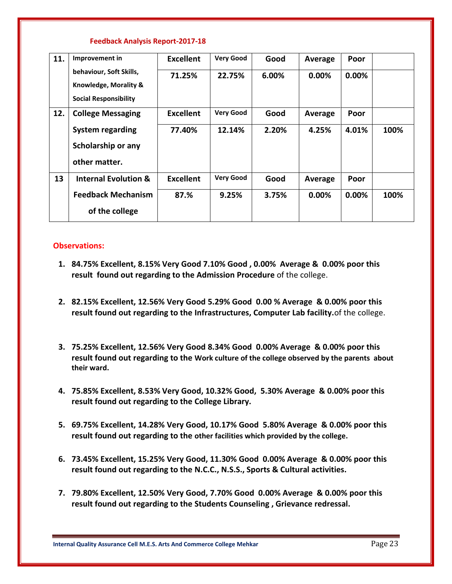| 11. | Improvement in                  | <b>Excellent</b> | <b>Very Good</b> | Good  | Average | Poor     |      |
|-----|---------------------------------|------------------|------------------|-------|---------|----------|------|
|     | behaviour, Soft Skills,         | 71.25%           | 22.75%           | 6.00% | 0.00%   | 0.00%    |      |
|     | Knowledge, Morality &           |                  |                  |       |         |          |      |
|     | <b>Social Responsibility</b>    |                  |                  |       |         |          |      |
| 12. | <b>College Messaging</b>        | <b>Excellent</b> | <b>Very Good</b> | Good  | Average | Poor     |      |
|     | <b>System regarding</b>         | 77.40%           | 12.14%           | 2.20% | 4.25%   | 4.01%    | 100% |
|     | Scholarship or any              |                  |                  |       |         |          |      |
|     | other matter.                   |                  |                  |       |         |          |      |
| 13  | <b>Internal Evolution &amp;</b> | <b>Excellent</b> | <b>Very Good</b> | Good  | Average | Poor     |      |
|     | <b>Feedback Mechanism</b>       | 87.%             | 9.25%            | 3.75% | 0.00%   | $0.00\%$ | 100% |
|     | of the college                  |                  |                  |       |         |          |      |

#### **Observations:**

- **1. 84.75% Excellent, 8.15% Very Good 7.10% Good , 0.00% Average & 0.00% poor this result found out regarding to the Admission Procedure** of the college.
- **2. 82.15% Excellent, 12.56% Very Good 5.29% Good 0.00 % Average & 0.00% poor this result found out regarding to the Infrastructures, Computer Lab facility.**of the college.
- **3. 75.25% Excellent, 12.56% Very Good 8.34% Good 0.00% Average & 0.00% poor this result found out regarding to the Work culture of the college observed by the parents about their ward.**
- **4. 75.85% Excellent, 8.53% Very Good, 10.32% Good, 5.30% Average & 0.00% poor this result found out regarding to the College Library.**
- **5. 69.75% Excellent, 14.28% Very Good, 10.17% Good 5.80% Average & 0.00% poor this result found out regarding to the other facilities which provided by the college.**
- **6. 73.45% Excellent, 15.25% Very Good, 11.30% Good 0.00% Average & 0.00% poor this result found out regarding to the N.C.C., N.S.S., Sports & Cultural activities.**
- **7. 79.80% Excellent, 12.50% Very Good, 7.70% Good 0.00% Average & 0.00% poor this result found out regarding to the Students Counseling , Grievance redressal.**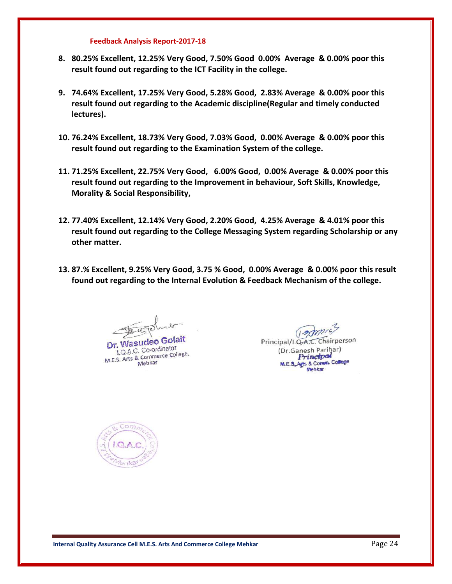- **8. 80.25% Excellent, 12.25% Very Good, 7.50% Good 0.00% Average & 0.00% poor this result found out regarding to the ICT Facility in the college.**
- **9. 74.64% Excellent, 17.25% Very Good, 5.28% Good, 2.83% Average & 0.00% poor this result found out regarding to the Academic discipline(Regular and timely conducted lectures).**
- **10. 76.24% Excellent, 18.73% Very Good, 7.03% Good, 0.00% Average & 0.00% poor this result found out regarding to the Examination System of the college.**
- **11. 71.25% Excellent, 22.75% Very Good, 6.00% Good, 0.00% Average & 0.00% poor this result found out regarding to the Improvement in behaviour, Soft Skills, Knowledge, Morality & Social Responsibility,**
- **12. 77.40% Excellent, 12.14% Very Good, 2.20% Good, 4.25% Average & 4.01% poor this result found out regarding to the College Messaging System regarding Scholarship or any other matter.**
- **13. 87.% Excellent, 9.25% Very Good, 3.75 % Good, 0.00% Average & 0.00% poor this result found out regarding to the Internal Evolution & Feedback Mechanism of the college.**

Dr. Wasudeo Golait **LO.A.C.** Co-ordinator I.Q.A.C. Co-ordinator<br>M.E.S. Arts & Commerce College, Mehkar

 $(1, 2)$ Principal/I.Q.A.C. Chairperson (Dr.Ganesh Parihar) Princtpol M.E.S.Agts & Comm. College Mehkar